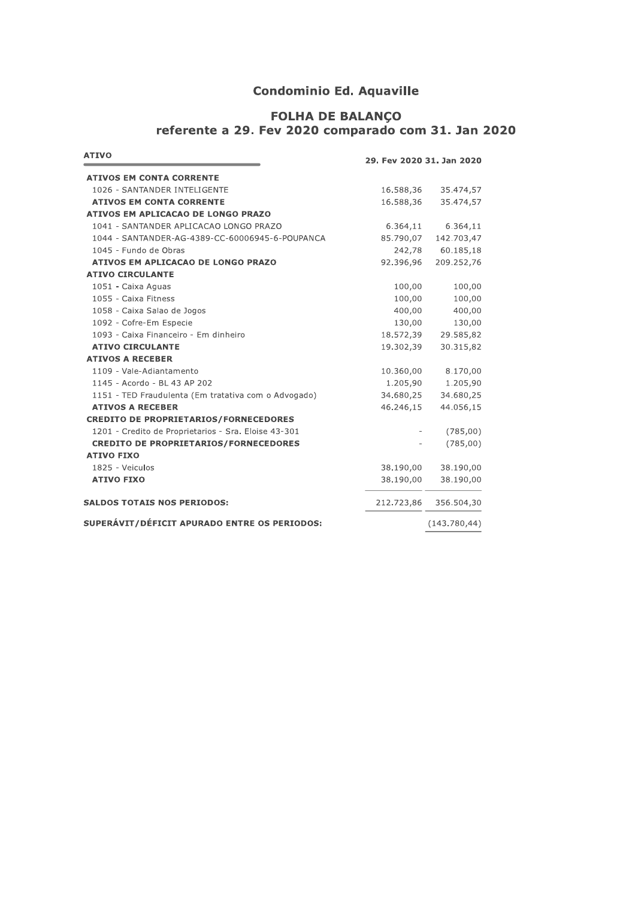## **Condominio Ed. Aquaville**

# FOLHA DE BALANÇO<br>referente a 29. Fev 2020 comparado com 31. Jan 2020

| <b>ATIVO</b>                                         | 29. Fev 2020 31. Jan 2020 |                       |  |
|------------------------------------------------------|---------------------------|-----------------------|--|
| <b>ATIVOS EM CONTA CORRENTE</b>                      |                           |                       |  |
| 1026 - SANTANDER INTELIGENTE                         | 16.588,36                 | 35.474,57             |  |
| <b>ATIVOS EM CONTA CORRENTE</b>                      | 16.588,36                 | 35.474,57             |  |
| ATIVOS EM APLICACAO DE LONGO PRAZO                   |                           |                       |  |
| 1041 - SANTANDER APLICACAO LONGO PRAZO               | 6.364,11                  | 6.364,11              |  |
| 1044 - SANTANDER-AG-4389-CC-60006945-6-POUPANCA      | 85.790,07                 | 142.703,47            |  |
| 1045 - Fundo de Obras                                |                           | 242,78 60.185,18      |  |
| ATIVOS EM APLICACAO DE LONGO PRAZO                   | 92.396,96                 | 209.252,76            |  |
| <b>ATIVO CIRCULANTE</b>                              |                           |                       |  |
| 1051 - Caixa Aguas                                   | 100,00                    | 100,00                |  |
| 1055 - Caixa Fitness                                 | 100,00                    | 100,00                |  |
| 1058 - Caixa Salao de Jogos                          | 400,00                    | 400,00                |  |
| 1092 - Cofre-Em Especie                              | 130,00                    | 130,00                |  |
| 1093 - Caixa Financeiro - Em dinheiro                | 18.572,39                 | 29.585,82             |  |
| <b>ATIVO CIRCULANTE</b>                              | 19.302,39                 | 30.315,82             |  |
| <b>ATIVOS A RECEBER</b>                              |                           |                       |  |
| 1109 - Vale-Adiantamento                             | 10.360,00                 | 8.170,00              |  |
| 1145 - Acordo - BL 43 AP 202                         | 1.205,90                  | 1.205,90              |  |
| 1151 - TED Fraudulenta (Em tratativa com o Advogado) | 34.680,25                 | 34.680,25             |  |
| <b>ATIVOS A RECEBER</b>                              | 46.246,15                 | 44.056,15             |  |
| <b>CREDITO DE PROPRIETARIOS/FORNECEDORES</b>         |                           |                       |  |
| 1201 - Credito de Proprietarios - Sra. Eloise 43-301 |                           | (785,00)              |  |
| <b>CREDITO DE PROPRIETARIOS/FORNECEDORES</b>         |                           | (785,00)              |  |
| <b>ATIVO FIXO</b>                                    |                           |                       |  |
| 1825 - Veiculos                                      | 38.190,00                 | 38.190,00             |  |
| <b>ATIVO FIXO</b>                                    | 38.190,00                 | 38.190,00             |  |
| <b>SALDOS TOTAIS NOS PERIODOS:</b>                   |                           | 212.723,86 356.504,30 |  |
| SUPERÁVIT/DÉFICIT APURADO ENTRE OS PERIODOS:         |                           | (143.780, 44)         |  |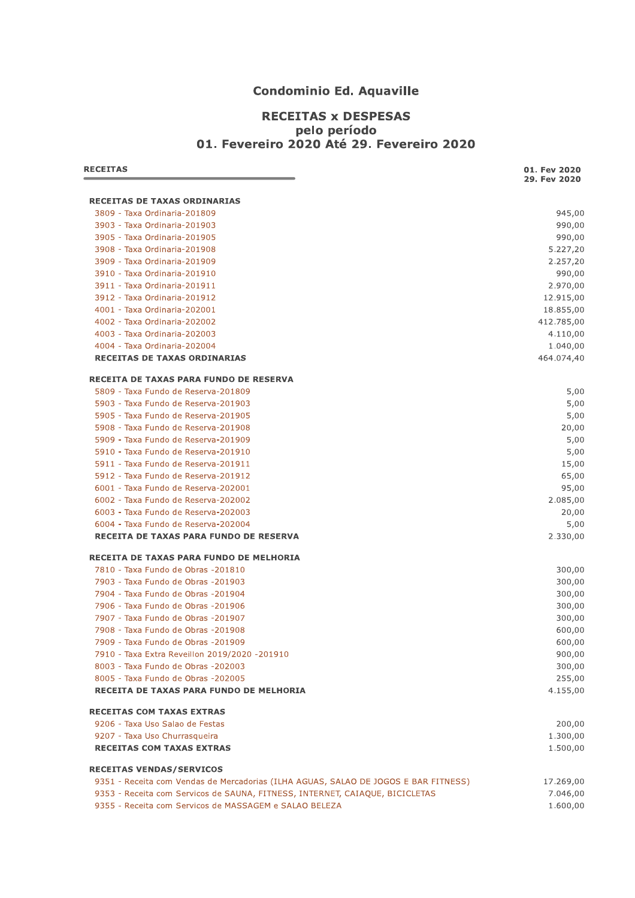## **Condominio Ed. Aquaville**

#### **RECEITAS x DESPESAS** pelo período 01. Fevereiro 2020 Até 29. Fevereiro 2020

| <b>RECEITAS</b>                                                                     | 01. Fev 2020<br>29. Fev 2020 |
|-------------------------------------------------------------------------------------|------------------------------|
| <b>RECEITAS DE TAXAS ORDINARIAS</b>                                                 |                              |
| 3809 - Taxa Ordinaria-201809                                                        | 945,00                       |
| 3903 - Taxa Ordinaria-201903                                                        | 990,00                       |
| 3905 - Taxa Ordinaria-201905                                                        | 990,00                       |
| 3908 - Taxa Ordinaria-201908                                                        | 5.227,20                     |
| 3909 - Taxa Ordinaria-201909                                                        | 2.257,20                     |
| 3910 - Taxa Ordinaria-201910                                                        | 990,00                       |
| 3911 - Taxa Ordinaria-201911                                                        | 2.970,00                     |
| 3912 - Taxa Ordinaria-201912                                                        | 12.915,00                    |
| 4001 - Taxa Ordinaria-202001                                                        | 18.855,00                    |
| 4002 - Taxa Ordinaria-202002                                                        | 412.785,00                   |
| 4003 - Taxa Ordinaria-202003                                                        | 4.110,00                     |
| 4004 - Taxa Ordinaria-202004                                                        | 1.040,00                     |
| RECEITAS DE TAXAS ORDINARIAS                                                        | 464.074,40                   |
| <b>RECEITA DE TAXAS PARA FUNDO DE RESERVA</b>                                       |                              |
| 5809 - Taxa Fundo de Reserva-201809                                                 | 5,00                         |
| 5903 - Taxa Fundo de Reserva-201903                                                 | 5,00                         |
| 5905 - Taxa Fundo de Reserva-201905                                                 | 5,00                         |
| 5908 - Taxa Fundo de Reserva-201908                                                 | 20,00                        |
| 5909 - Taxa Fundo de Reserva-201909                                                 | 5,00                         |
| 5910 - Taxa Fundo de Reserva-201910                                                 | 5,00                         |
| 5911 - Taxa Fundo de Reserva-201911                                                 | 15,00                        |
| 5912 - Taxa Fundo de Reserva-201912                                                 | 65,00                        |
| 6001 - Taxa Fundo de Reserva-202001                                                 | 95,00                        |
| 6002 - Taxa Fundo de Reserva-202002                                                 | 2.085,00                     |
| 6003 - Taxa Fundo de Reserva-202003                                                 | 20,00                        |
| 6004 - Taxa Fundo de Reserva-202004                                                 | 5,00                         |
| RECEITA DE TAXAS PARA FUNDO DE RESERVA                                              | 2.330,00                     |
| RECEITA DE TAXAS PARA FUNDO DE MELHORIA                                             |                              |
| 7810 - Taxa Fundo de Obras - 201810                                                 | 300,00                       |
| 7903 - Taxa Fundo de Obras -201903                                                  | 300,00                       |
| 7904 - Taxa Fundo de Obras -201904                                                  | 300,00                       |
| 7906 - Taxa Fundo de Obras -201906                                                  | 300,00                       |
| 7907 - Taxa Fundo de Obras -201907                                                  | 300,00                       |
| 7908 - Taxa Fundo de Obras -201908                                                  | 600,00                       |
| 7909 - Taxa Fundo de Obras -201909                                                  | 600,00                       |
| 7910 - Taxa Extra Reveillon 2019/2020 -201910                                       | 900,00                       |
| 8003 - Taxa Fundo de Obras -202003                                                  | 300,00                       |
| 8005 - Taxa Fundo de Obras -202005                                                  | 255,00                       |
| RECEITA DE TAXAS PARA FUNDO DE MELHORIA                                             | 4.155,00                     |
| <b>RECEITAS COM TAXAS EXTRAS</b>                                                    |                              |
| 9206 - Taxa Uso Salao de Festas                                                     | 200,00                       |
| 9207 - Taxa Uso Churrasqueira                                                       | 1.300,00                     |
| <b>RECEITAS COM TAXAS EXTRAS</b>                                                    | 1.500,00                     |
| <b>RECEITAS VENDAS/SERVICOS</b>                                                     |                              |
| 9351 - Receita com Vendas de Mercadorias (ILHA AGUAS, SALAO DE JOGOS E BAR FITNESS) | 17.269,00                    |
| 9353 - Receita com Servicos de SAUNA, FITNESS, INTERNET, CAIAQUE, BICICLETAS        | 7.046,00                     |
| 9355 - Receita com Servicos de MASSAGEM e SALAO BELEZA                              | 1.600,00                     |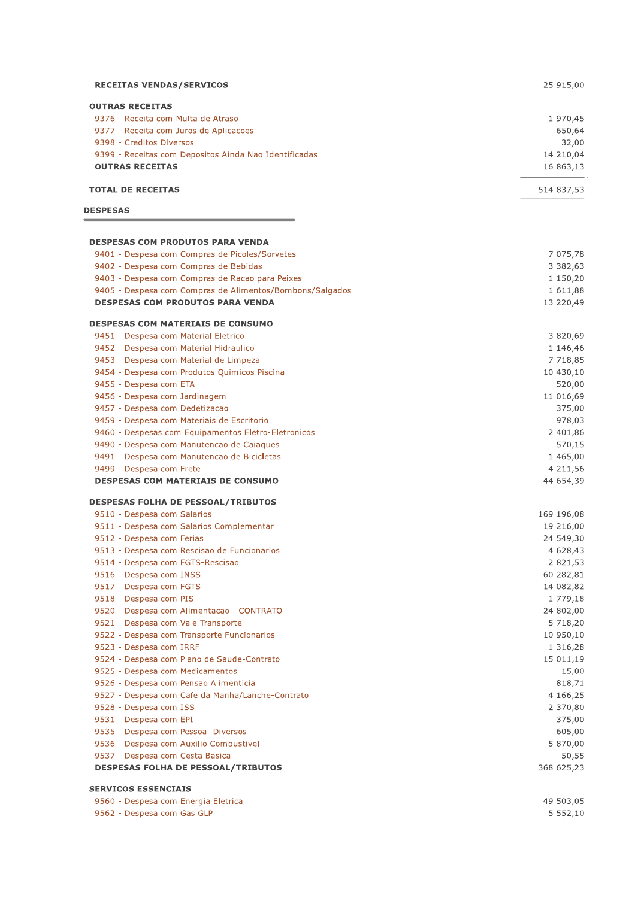| <b>RECEITAS VENDAS/SERVICOS</b>                                      | 25.915,00             |
|----------------------------------------------------------------------|-----------------------|
| <b>OUTRAS RECEITAS</b>                                               |                       |
| 9376 - Receita com Multa de Atraso                                   | 1.970,45              |
| 9377 - Receita com Juros de Aplicacoes                               | 650,64                |
| 9398 - Creditos Diversos                                             | 32,00                 |
| 9399 - Receitas com Depositos Ainda Nao Identificadas                | 14.210,04             |
| <b>OUTRAS RECEITAS</b>                                               | 16.863,13             |
| <b>TOTAL DE RECEITAS</b>                                             | 514.837,53 ·          |
| <b>DESPESAS</b>                                                      |                       |
|                                                                      |                       |
| <b>DESPESAS COM PRODUTOS PARA VENDA</b>                              |                       |
| 9401 - Despesa com Compras de Picoles/Sorvetes                       | 7.075,78              |
| 9402 - Despesa com Compras de Bebidas                                | 3.382,63              |
| 9403 - Despesa com Compras de Racao para Peixes                      | 1.150,20              |
| 9405 - Despesa com Compras de Alimentos/Bombons/Salgados             | 1.611,88              |
| <b>DESPESAS COM PRODUTOS PARA VENDA</b>                              | 13.220,49             |
| <b>DESPESAS COM MATERIAIS DE CONSUMO</b>                             |                       |
| 9451 - Despesa com Material Eletrico                                 | 3.820,69              |
| 9452 - Despesa com Material Hidraulico                               | 1.146,46              |
| 9453 - Despesa com Material de Limpeza                               | 7.718,85              |
| 9454 - Despesa com Produtos Quimicos Piscina                         | 10.430,10             |
| 9455 - Despesa com ETA                                               | 520,00                |
| 9456 - Despesa com Jardinagem                                        | 11.016,69             |
| 9457 - Despesa com Dedetizacao                                       | 375,00                |
| 9459 - Despesa com Materiais de Escritorio                           | 978,03                |
| 9460 - Despesas com Equipamentos Eletro-Eletronicos                  | 2.401,86              |
| 9490 - Despesa com Manutencao de Caiaques                            | 570,15                |
| 9491 - Despesa com Manutencao de Bicicletas                          | 1.465,00              |
| 9499 - Despesa com Frete<br><b>DESPESAS COM MATERIAIS DE CONSUMO</b> | 4.211,56<br>44.654,39 |
| <b>DESPESAS FOLHA DE PESSOAL/TRIBUTOS</b>                            |                       |
| 9510 - Despesa com Salarios                                          | 169.196,08            |
| 9511 - Despesa com Salarios Complementar                             | 19.216,00             |
| 9512 - Despesa com Ferias                                            | 24.549,30             |
| 9513 - Despesa com Rescisao de Funcionarios                          | 4.628,43              |
| 9514 - Despesa com FGTS-Rescisao                                     | 2.821,53              |
| 9516 - Despesa com INSS                                              | 60.282,81             |
| 9517 - Despesa com FGTS                                              | 14.082,82             |
| 9518 - Despesa com PIS                                               | 1.779,18              |
| 9520 - Despesa com Alimentacao - CONTRATO                            | 24.802,00             |
| 9521 - Despesa com Vale-Transporte                                   | 5.718,20              |
| 9522 - Despesa com Transporte Funcionarios                           | 10.950,10             |
| 9523 - Despesa com IRRF                                              | 1.316,28              |
| 9524 - Despesa com Plano de Saude-Contrato                           | 15.011,19             |
| 9525 - Despesa com Medicamentos                                      | 15,00                 |
| 9526 - Despesa com Pensao Alimenticia                                | 818,71                |
| 9527 - Despesa com Cafe da Manha/Lanche-Contrato                     | 4.166,25              |
| 9528 - Despesa com ISS                                               | 2.370,80              |
| 9531 - Despesa com EPI                                               | 375,00                |
| 9535 - Despesa com Pessoal-Diversos                                  | 605,00                |
| 9536 - Despesa com Auxilio Combustivel                               | 5.870,00              |
| 9537 - Despesa com Cesta Basica                                      | 50,55                 |
| <b>DESPESAS FOLHA DE PESSOAL/TRIBUTOS</b>                            | 368.625,23            |
| <b>SERVICOS ESSENCIAIS</b>                                           |                       |
| 9560 - Despesa com Energia Eletrica                                  | 49.503,05             |
|                                                                      |                       |

9562 - Despesa com Gas GLP  $5.552,10$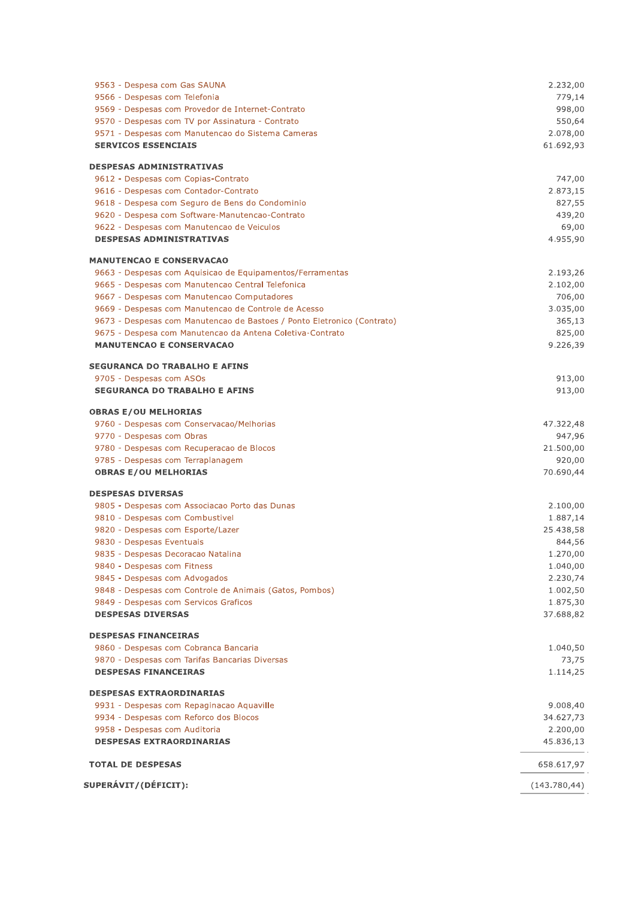| 9566 - Despesas com Telefonia<br>779,14<br>998,00<br>9569 - Despesas com Provedor de Internet-Contrato<br>9570 - Despesas com TV por Assinatura - Contrato<br>550,64<br>9571 - Despesas com Manutencao do Sistema Cameras<br>2.078,00<br><b>SERVICOS ESSENCIAIS</b><br>61.692,93<br>9612 - Despesas com Copias-Contrato<br>747,00<br>9616 - Despesas com Contador-Contrato<br>2.873,15<br>9618 - Despesa com Seguro de Bens do Condominio<br>827,55<br>9620 - Despesa com Software-Manutencao-Contrato<br>439,20<br>9622 - Despesas com Manutencao de Veiculos<br>69,00<br><b>DESPESAS ADMINISTRATIVAS</b><br>4.955,90<br>9663 - Despesas com Aquisicao de Equipamentos/Ferramentas<br>2.193,26<br>9665 - Despesas com Manutencao Central Telefonica<br>2.102,00<br>9667 - Despesas com Manutencao Computadores<br>706,00<br>9669 - Despesas com Manutencao de Controle de Acesso<br>3.035,00<br>9673 - Despesas com Manutencao de Bastoes / Ponto Eletronico (Contrato)<br>365,13<br>825,00<br>9675 - Despesa com Manutencao da Antena Coletiva-Contrato<br><b>MANUTENCAO E CONSERVACAO</b><br>9.226,39<br>9705 - Despesas com ASOs<br>913,00<br><b>SEGURANCA DO TRABALHO E AFINS</b><br>913,00<br>9760 - Despesas com Conservacao/Melhorias<br>47.322,48<br>9770 - Despesas com Obras<br>947,96<br>9780 - Despesas com Recuperacao de Blocos<br>21.500,00<br>9785 - Despesas com Terraplanagem<br>920,00<br>70.690,44<br><b>OBRAS E/OU MELHORIAS</b><br>9805 - Despesas com Associacao Porto das Dunas<br>2.100,00<br>9810 - Despesas com Combustivel<br>1.887,14<br>9820 - Despesas com Esporte/Lazer<br>25.438,58<br>9830 - Despesas Eventuais<br>844,56<br>9835 - Despesas Decoracao Natalina<br>1.270,00<br>9840 - Despesas com Fitness<br>1.040,00<br>9845 - Despesas com Advogados<br>2.230,74<br>9848 - Despesas com Controle de Animais (Gatos, Pombos)<br>1.002,50<br>9849 - Despesas com Servicos Graficos<br>1.875,30<br><b>DESPESAS DIVERSAS</b><br>37.688,82<br>9860 - Despesas com Cobranca Bancaria<br>1.040,50<br>9870 - Despesas com Tarifas Bancarias Diversas<br>73,75<br><b>DESPESAS FINANCEIRAS</b><br>1.114,25<br>9931 - Despesas com Repaginacao Aquaville<br>9.008,40<br>9934 - Despesas com Reforco dos Blocos<br>34.627,73<br>9958 - Despesas com Auditoria<br>2.200,00<br><b>DESPESAS EXTRAORDINARIAS</b><br>45.836,13<br>658.617,97<br>(143.780, 44) | 9563 - Despesa com Gas SAUNA | 2.232,00 |
|------------------------------------------------------------------------------------------------------------------------------------------------------------------------------------------------------------------------------------------------------------------------------------------------------------------------------------------------------------------------------------------------------------------------------------------------------------------------------------------------------------------------------------------------------------------------------------------------------------------------------------------------------------------------------------------------------------------------------------------------------------------------------------------------------------------------------------------------------------------------------------------------------------------------------------------------------------------------------------------------------------------------------------------------------------------------------------------------------------------------------------------------------------------------------------------------------------------------------------------------------------------------------------------------------------------------------------------------------------------------------------------------------------------------------------------------------------------------------------------------------------------------------------------------------------------------------------------------------------------------------------------------------------------------------------------------------------------------------------------------------------------------------------------------------------------------------------------------------------------------------------------------------------------------------------------------------------------------------------------------------------------------------------------------------------------------------------------------------------------------------------------------------------------------------------------------------------------------------------------------------------------------------------------------------------------------------------------------------------------------------------|------------------------------|----------|
|                                                                                                                                                                                                                                                                                                                                                                                                                                                                                                                                                                                                                                                                                                                                                                                                                                                                                                                                                                                                                                                                                                                                                                                                                                                                                                                                                                                                                                                                                                                                                                                                                                                                                                                                                                                                                                                                                                                                                                                                                                                                                                                                                                                                                                                                                                                                                                                    |                              |          |
|                                                                                                                                                                                                                                                                                                                                                                                                                                                                                                                                                                                                                                                                                                                                                                                                                                                                                                                                                                                                                                                                                                                                                                                                                                                                                                                                                                                                                                                                                                                                                                                                                                                                                                                                                                                                                                                                                                                                                                                                                                                                                                                                                                                                                                                                                                                                                                                    |                              |          |
|                                                                                                                                                                                                                                                                                                                                                                                                                                                                                                                                                                                                                                                                                                                                                                                                                                                                                                                                                                                                                                                                                                                                                                                                                                                                                                                                                                                                                                                                                                                                                                                                                                                                                                                                                                                                                                                                                                                                                                                                                                                                                                                                                                                                                                                                                                                                                                                    |                              |          |
|                                                                                                                                                                                                                                                                                                                                                                                                                                                                                                                                                                                                                                                                                                                                                                                                                                                                                                                                                                                                                                                                                                                                                                                                                                                                                                                                                                                                                                                                                                                                                                                                                                                                                                                                                                                                                                                                                                                                                                                                                                                                                                                                                                                                                                                                                                                                                                                    |                              |          |
| <b>DESPESAS ADMINISTRATIVAS</b>                                                                                                                                                                                                                                                                                                                                                                                                                                                                                                                                                                                                                                                                                                                                                                                                                                                                                                                                                                                                                                                                                                                                                                                                                                                                                                                                                                                                                                                                                                                                                                                                                                                                                                                                                                                                                                                                                                                                                                                                                                                                                                                                                                                                                                                                                                                                                    |                              |          |
|                                                                                                                                                                                                                                                                                                                                                                                                                                                                                                                                                                                                                                                                                                                                                                                                                                                                                                                                                                                                                                                                                                                                                                                                                                                                                                                                                                                                                                                                                                                                                                                                                                                                                                                                                                                                                                                                                                                                                                                                                                                                                                                                                                                                                                                                                                                                                                                    |                              |          |
|                                                                                                                                                                                                                                                                                                                                                                                                                                                                                                                                                                                                                                                                                                                                                                                                                                                                                                                                                                                                                                                                                                                                                                                                                                                                                                                                                                                                                                                                                                                                                                                                                                                                                                                                                                                                                                                                                                                                                                                                                                                                                                                                                                                                                                                                                                                                                                                    |                              |          |
|                                                                                                                                                                                                                                                                                                                                                                                                                                                                                                                                                                                                                                                                                                                                                                                                                                                                                                                                                                                                                                                                                                                                                                                                                                                                                                                                                                                                                                                                                                                                                                                                                                                                                                                                                                                                                                                                                                                                                                                                                                                                                                                                                                                                                                                                                                                                                                                    |                              |          |
|                                                                                                                                                                                                                                                                                                                                                                                                                                                                                                                                                                                                                                                                                                                                                                                                                                                                                                                                                                                                                                                                                                                                                                                                                                                                                                                                                                                                                                                                                                                                                                                                                                                                                                                                                                                                                                                                                                                                                                                                                                                                                                                                                                                                                                                                                                                                                                                    |                              |          |
| <b>MANUTENCAO E CONSERVACAO</b><br><b>SEGURANCA DO TRABALHO E AFINS</b><br><b>OBRAS E/OU MELHORIAS</b><br><b>DESPESAS DIVERSAS</b><br><b>DESPESAS FINANCEIRAS</b><br><b>DESPESAS EXTRAORDINARIAS</b><br>SUPERÁVIT/(DÉFICIT):                                                                                                                                                                                                                                                                                                                                                                                                                                                                                                                                                                                                                                                                                                                                                                                                                                                                                                                                                                                                                                                                                                                                                                                                                                                                                                                                                                                                                                                                                                                                                                                                                                                                                                                                                                                                                                                                                                                                                                                                                                                                                                                                                       |                              |          |
|                                                                                                                                                                                                                                                                                                                                                                                                                                                                                                                                                                                                                                                                                                                                                                                                                                                                                                                                                                                                                                                                                                                                                                                                                                                                                                                                                                                                                                                                                                                                                                                                                                                                                                                                                                                                                                                                                                                                                                                                                                                                                                                                                                                                                                                                                                                                                                                    |                              |          |
|                                                                                                                                                                                                                                                                                                                                                                                                                                                                                                                                                                                                                                                                                                                                                                                                                                                                                                                                                                                                                                                                                                                                                                                                                                                                                                                                                                                                                                                                                                                                                                                                                                                                                                                                                                                                                                                                                                                                                                                                                                                                                                                                                                                                                                                                                                                                                                                    |                              |          |
|                                                                                                                                                                                                                                                                                                                                                                                                                                                                                                                                                                                                                                                                                                                                                                                                                                                                                                                                                                                                                                                                                                                                                                                                                                                                                                                                                                                                                                                                                                                                                                                                                                                                                                                                                                                                                                                                                                                                                                                                                                                                                                                                                                                                                                                                                                                                                                                    |                              |          |
|                                                                                                                                                                                                                                                                                                                                                                                                                                                                                                                                                                                                                                                                                                                                                                                                                                                                                                                                                                                                                                                                                                                                                                                                                                                                                                                                                                                                                                                                                                                                                                                                                                                                                                                                                                                                                                                                                                                                                                                                                                                                                                                                                                                                                                                                                                                                                                                    |                              |          |
|                                                                                                                                                                                                                                                                                                                                                                                                                                                                                                                                                                                                                                                                                                                                                                                                                                                                                                                                                                                                                                                                                                                                                                                                                                                                                                                                                                                                                                                                                                                                                                                                                                                                                                                                                                                                                                                                                                                                                                                                                                                                                                                                                                                                                                                                                                                                                                                    |                              |          |
|                                                                                                                                                                                                                                                                                                                                                                                                                                                                                                                                                                                                                                                                                                                                                                                                                                                                                                                                                                                                                                                                                                                                                                                                                                                                                                                                                                                                                                                                                                                                                                                                                                                                                                                                                                                                                                                                                                                                                                                                                                                                                                                                                                                                                                                                                                                                                                                    |                              |          |
|                                                                                                                                                                                                                                                                                                                                                                                                                                                                                                                                                                                                                                                                                                                                                                                                                                                                                                                                                                                                                                                                                                                                                                                                                                                                                                                                                                                                                                                                                                                                                                                                                                                                                                                                                                                                                                                                                                                                                                                                                                                                                                                                                                                                                                                                                                                                                                                    |                              |          |
|                                                                                                                                                                                                                                                                                                                                                                                                                                                                                                                                                                                                                                                                                                                                                                                                                                                                                                                                                                                                                                                                                                                                                                                                                                                                                                                                                                                                                                                                                                                                                                                                                                                                                                                                                                                                                                                                                                                                                                                                                                                                                                                                                                                                                                                                                                                                                                                    |                              |          |
|                                                                                                                                                                                                                                                                                                                                                                                                                                                                                                                                                                                                                                                                                                                                                                                                                                                                                                                                                                                                                                                                                                                                                                                                                                                                                                                                                                                                                                                                                                                                                                                                                                                                                                                                                                                                                                                                                                                                                                                                                                                                                                                                                                                                                                                                                                                                                                                    |                              |          |
|                                                                                                                                                                                                                                                                                                                                                                                                                                                                                                                                                                                                                                                                                                                                                                                                                                                                                                                                                                                                                                                                                                                                                                                                                                                                                                                                                                                                                                                                                                                                                                                                                                                                                                                                                                                                                                                                                                                                                                                                                                                                                                                                                                                                                                                                                                                                                                                    |                              |          |
|                                                                                                                                                                                                                                                                                                                                                                                                                                                                                                                                                                                                                                                                                                                                                                                                                                                                                                                                                                                                                                                                                                                                                                                                                                                                                                                                                                                                                                                                                                                                                                                                                                                                                                                                                                                                                                                                                                                                                                                                                                                                                                                                                                                                                                                                                                                                                                                    |                              |          |
|                                                                                                                                                                                                                                                                                                                                                                                                                                                                                                                                                                                                                                                                                                                                                                                                                                                                                                                                                                                                                                                                                                                                                                                                                                                                                                                                                                                                                                                                                                                                                                                                                                                                                                                                                                                                                                                                                                                                                                                                                                                                                                                                                                                                                                                                                                                                                                                    |                              |          |
|                                                                                                                                                                                                                                                                                                                                                                                                                                                                                                                                                                                                                                                                                                                                                                                                                                                                                                                                                                                                                                                                                                                                                                                                                                                                                                                                                                                                                                                                                                                                                                                                                                                                                                                                                                                                                                                                                                                                                                                                                                                                                                                                                                                                                                                                                                                                                                                    |                              |          |
|                                                                                                                                                                                                                                                                                                                                                                                                                                                                                                                                                                                                                                                                                                                                                                                                                                                                                                                                                                                                                                                                                                                                                                                                                                                                                                                                                                                                                                                                                                                                                                                                                                                                                                                                                                                                                                                                                                                                                                                                                                                                                                                                                                                                                                                                                                                                                                                    |                              |          |
|                                                                                                                                                                                                                                                                                                                                                                                                                                                                                                                                                                                                                                                                                                                                                                                                                                                                                                                                                                                                                                                                                                                                                                                                                                                                                                                                                                                                                                                                                                                                                                                                                                                                                                                                                                                                                                                                                                                                                                                                                                                                                                                                                                                                                                                                                                                                                                                    |                              |          |
|                                                                                                                                                                                                                                                                                                                                                                                                                                                                                                                                                                                                                                                                                                                                                                                                                                                                                                                                                                                                                                                                                                                                                                                                                                                                                                                                                                                                                                                                                                                                                                                                                                                                                                                                                                                                                                                                                                                                                                                                                                                                                                                                                                                                                                                                                                                                                                                    |                              |          |
|                                                                                                                                                                                                                                                                                                                                                                                                                                                                                                                                                                                                                                                                                                                                                                                                                                                                                                                                                                                                                                                                                                                                                                                                                                                                                                                                                                                                                                                                                                                                                                                                                                                                                                                                                                                                                                                                                                                                                                                                                                                                                                                                                                                                                                                                                                                                                                                    |                              |          |
|                                                                                                                                                                                                                                                                                                                                                                                                                                                                                                                                                                                                                                                                                                                                                                                                                                                                                                                                                                                                                                                                                                                                                                                                                                                                                                                                                                                                                                                                                                                                                                                                                                                                                                                                                                                                                                                                                                                                                                                                                                                                                                                                                                                                                                                                                                                                                                                    |                              |          |
|                                                                                                                                                                                                                                                                                                                                                                                                                                                                                                                                                                                                                                                                                                                                                                                                                                                                                                                                                                                                                                                                                                                                                                                                                                                                                                                                                                                                                                                                                                                                                                                                                                                                                                                                                                                                                                                                                                                                                                                                                                                                                                                                                                                                                                                                                                                                                                                    |                              |          |
|                                                                                                                                                                                                                                                                                                                                                                                                                                                                                                                                                                                                                                                                                                                                                                                                                                                                                                                                                                                                                                                                                                                                                                                                                                                                                                                                                                                                                                                                                                                                                                                                                                                                                                                                                                                                                                                                                                                                                                                                                                                                                                                                                                                                                                                                                                                                                                                    |                              |          |
|                                                                                                                                                                                                                                                                                                                                                                                                                                                                                                                                                                                                                                                                                                                                                                                                                                                                                                                                                                                                                                                                                                                                                                                                                                                                                                                                                                                                                                                                                                                                                                                                                                                                                                                                                                                                                                                                                                                                                                                                                                                                                                                                                                                                                                                                                                                                                                                    |                              |          |
|                                                                                                                                                                                                                                                                                                                                                                                                                                                                                                                                                                                                                                                                                                                                                                                                                                                                                                                                                                                                                                                                                                                                                                                                                                                                                                                                                                                                                                                                                                                                                                                                                                                                                                                                                                                                                                                                                                                                                                                                                                                                                                                                                                                                                                                                                                                                                                                    |                              |          |
|                                                                                                                                                                                                                                                                                                                                                                                                                                                                                                                                                                                                                                                                                                                                                                                                                                                                                                                                                                                                                                                                                                                                                                                                                                                                                                                                                                                                                                                                                                                                                                                                                                                                                                                                                                                                                                                                                                                                                                                                                                                                                                                                                                                                                                                                                                                                                                                    |                              |          |
|                                                                                                                                                                                                                                                                                                                                                                                                                                                                                                                                                                                                                                                                                                                                                                                                                                                                                                                                                                                                                                                                                                                                                                                                                                                                                                                                                                                                                                                                                                                                                                                                                                                                                                                                                                                                                                                                                                                                                                                                                                                                                                                                                                                                                                                                                                                                                                                    |                              |          |
|                                                                                                                                                                                                                                                                                                                                                                                                                                                                                                                                                                                                                                                                                                                                                                                                                                                                                                                                                                                                                                                                                                                                                                                                                                                                                                                                                                                                                                                                                                                                                                                                                                                                                                                                                                                                                                                                                                                                                                                                                                                                                                                                                                                                                                                                                                                                                                                    |                              |          |
|                                                                                                                                                                                                                                                                                                                                                                                                                                                                                                                                                                                                                                                                                                                                                                                                                                                                                                                                                                                                                                                                                                                                                                                                                                                                                                                                                                                                                                                                                                                                                                                                                                                                                                                                                                                                                                                                                                                                                                                                                                                                                                                                                                                                                                                                                                                                                                                    |                              |          |
|                                                                                                                                                                                                                                                                                                                                                                                                                                                                                                                                                                                                                                                                                                                                                                                                                                                                                                                                                                                                                                                                                                                                                                                                                                                                                                                                                                                                                                                                                                                                                                                                                                                                                                                                                                                                                                                                                                                                                                                                                                                                                                                                                                                                                                                                                                                                                                                    |                              |          |
|                                                                                                                                                                                                                                                                                                                                                                                                                                                                                                                                                                                                                                                                                                                                                                                                                                                                                                                                                                                                                                                                                                                                                                                                                                                                                                                                                                                                                                                                                                                                                                                                                                                                                                                                                                                                                                                                                                                                                                                                                                                                                                                                                                                                                                                                                                                                                                                    |                              |          |
|                                                                                                                                                                                                                                                                                                                                                                                                                                                                                                                                                                                                                                                                                                                                                                                                                                                                                                                                                                                                                                                                                                                                                                                                                                                                                                                                                                                                                                                                                                                                                                                                                                                                                                                                                                                                                                                                                                                                                                                                                                                                                                                                                                                                                                                                                                                                                                                    |                              |          |
|                                                                                                                                                                                                                                                                                                                                                                                                                                                                                                                                                                                                                                                                                                                                                                                                                                                                                                                                                                                                                                                                                                                                                                                                                                                                                                                                                                                                                                                                                                                                                                                                                                                                                                                                                                                                                                                                                                                                                                                                                                                                                                                                                                                                                                                                                                                                                                                    |                              |          |
|                                                                                                                                                                                                                                                                                                                                                                                                                                                                                                                                                                                                                                                                                                                                                                                                                                                                                                                                                                                                                                                                                                                                                                                                                                                                                                                                                                                                                                                                                                                                                                                                                                                                                                                                                                                                                                                                                                                                                                                                                                                                                                                                                                                                                                                                                                                                                                                    |                              |          |
|                                                                                                                                                                                                                                                                                                                                                                                                                                                                                                                                                                                                                                                                                                                                                                                                                                                                                                                                                                                                                                                                                                                                                                                                                                                                                                                                                                                                                                                                                                                                                                                                                                                                                                                                                                                                                                                                                                                                                                                                                                                                                                                                                                                                                                                                                                                                                                                    |                              |          |
|                                                                                                                                                                                                                                                                                                                                                                                                                                                                                                                                                                                                                                                                                                                                                                                                                                                                                                                                                                                                                                                                                                                                                                                                                                                                                                                                                                                                                                                                                                                                                                                                                                                                                                                                                                                                                                                                                                                                                                                                                                                                                                                                                                                                                                                                                                                                                                                    |                              |          |
|                                                                                                                                                                                                                                                                                                                                                                                                                                                                                                                                                                                                                                                                                                                                                                                                                                                                                                                                                                                                                                                                                                                                                                                                                                                                                                                                                                                                                                                                                                                                                                                                                                                                                                                                                                                                                                                                                                                                                                                                                                                                                                                                                                                                                                                                                                                                                                                    |                              |          |
|                                                                                                                                                                                                                                                                                                                                                                                                                                                                                                                                                                                                                                                                                                                                                                                                                                                                                                                                                                                                                                                                                                                                                                                                                                                                                                                                                                                                                                                                                                                                                                                                                                                                                                                                                                                                                                                                                                                                                                                                                                                                                                                                                                                                                                                                                                                                                                                    |                              |          |
|                                                                                                                                                                                                                                                                                                                                                                                                                                                                                                                                                                                                                                                                                                                                                                                                                                                                                                                                                                                                                                                                                                                                                                                                                                                                                                                                                                                                                                                                                                                                                                                                                                                                                                                                                                                                                                                                                                                                                                                                                                                                                                                                                                                                                                                                                                                                                                                    |                              |          |
|                                                                                                                                                                                                                                                                                                                                                                                                                                                                                                                                                                                                                                                                                                                                                                                                                                                                                                                                                                                                                                                                                                                                                                                                                                                                                                                                                                                                                                                                                                                                                                                                                                                                                                                                                                                                                                                                                                                                                                                                                                                                                                                                                                                                                                                                                                                                                                                    |                              |          |
|                                                                                                                                                                                                                                                                                                                                                                                                                                                                                                                                                                                                                                                                                                                                                                                                                                                                                                                                                                                                                                                                                                                                                                                                                                                                                                                                                                                                                                                                                                                                                                                                                                                                                                                                                                                                                                                                                                                                                                                                                                                                                                                                                                                                                                                                                                                                                                                    |                              |          |
|                                                                                                                                                                                                                                                                                                                                                                                                                                                                                                                                                                                                                                                                                                                                                                                                                                                                                                                                                                                                                                                                                                                                                                                                                                                                                                                                                                                                                                                                                                                                                                                                                                                                                                                                                                                                                                                                                                                                                                                                                                                                                                                                                                                                                                                                                                                                                                                    |                              |          |
|                                                                                                                                                                                                                                                                                                                                                                                                                                                                                                                                                                                                                                                                                                                                                                                                                                                                                                                                                                                                                                                                                                                                                                                                                                                                                                                                                                                                                                                                                                                                                                                                                                                                                                                                                                                                                                                                                                                                                                                                                                                                                                                                                                                                                                                                                                                                                                                    | <b>TOTAL DE DESPESAS</b>     |          |
|                                                                                                                                                                                                                                                                                                                                                                                                                                                                                                                                                                                                                                                                                                                                                                                                                                                                                                                                                                                                                                                                                                                                                                                                                                                                                                                                                                                                                                                                                                                                                                                                                                                                                                                                                                                                                                                                                                                                                                                                                                                                                                                                                                                                                                                                                                                                                                                    |                              |          |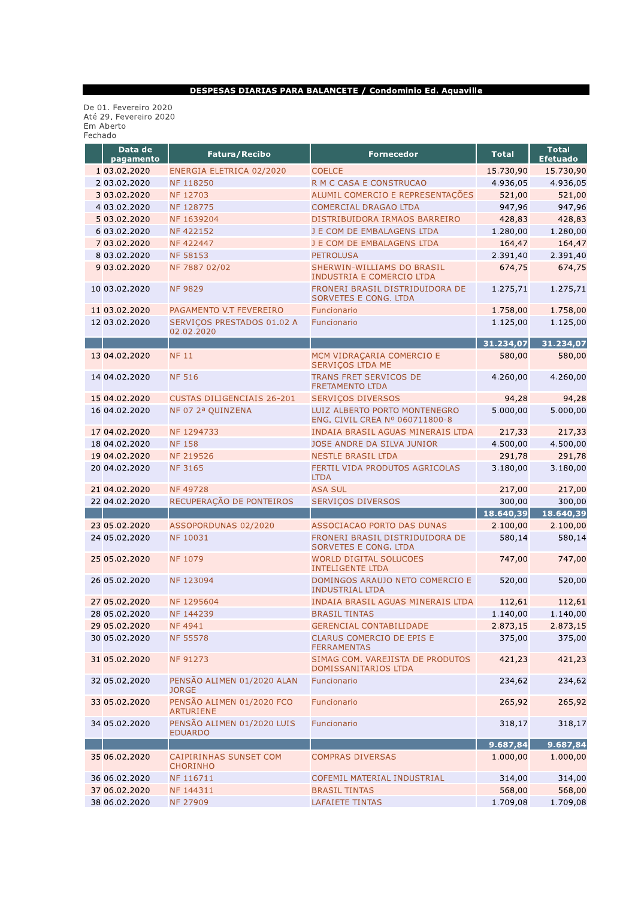#### DESPESAS DIARIAS PARA BALANCETE / Condominio Ed. Aquaville

De 01. Fevereiro 2020<br>Até 29. Fevereiro 2020<br>Em Aberto<br>Fechado

| Data de<br>pagamento | <b>Fatura/Recibo</b>                             | <b>Fornecedor</b>                                               | <b>Total</b> | <b>Total</b><br><b>Efetuado</b> |
|----------------------|--------------------------------------------------|-----------------------------------------------------------------|--------------|---------------------------------|
| 1 03.02.2020         | ENERGIA ELETRICA 02/2020                         | <b>COELCE</b>                                                   | 15.730,90    | 15.730,90                       |
| 2 03.02.2020         | NF 118250                                        | R M C CASA E CONSTRUCAO                                         | 4.936,05     | 4.936,05                        |
| 3 03.02.2020         | NF 12703                                         | ALUMIL COMERCIO E REPRESENTAÇÕES                                | 521,00       | 521,00                          |
| 4 03.02.2020         | NF 128775                                        | <b>COMERCIAL DRAGAO LTDA</b>                                    | 947,96       | 947,96                          |
| 5 03.02.2020         | NF 1639204                                       | DISTRIBUIDORA IRMAOS BARREIRO                                   | 428,83       | 428,83                          |
| 6 03.02.2020         | <b>NF422152</b>                                  | J E COM DE EMBALAGENS LTDA                                      | 1.280,00     | 1.280,00                        |
| 7 03.02.2020         | NF 422447                                        | J E COM DE EMBALAGENS LTDA                                      | 164,47       | 164,47                          |
| 8 03.02.2020         | <b>NF 58153</b>                                  | <b>PETROLUSA</b>                                                | 2.391,40     | 2.391,40                        |
| 9 03.02.2020         | NF 7887 02/02                                    | SHERWIN-WILLIAMS DO BRASIL<br>INDUSTRIA E COMERCIO LTDA         | 674,75       | 674,75                          |
| 10 03.02.2020        | <b>NF 9829</b>                                   | FRONERI BRASIL DISTRIDUIDORA DE<br><b>SORVETES E CONG. LTDA</b> | 1.275,71     | 1.275,71                        |
| 11 03.02.2020        | PAGAMENTO V.T FEVEREIRO                          | Funcionario                                                     | 1.758,00     | 1.758,00                        |
| 12 03.02.2020        | SERVIÇOS PRESTADOS 01.02 A<br>02.02.2020         | Funcionario                                                     | 1.125,00     | 1.125,00                        |
|                      |                                                  |                                                                 | 31.234,07    | 31.234,07                       |
| 13 04.02.2020        | <b>NF 11</b>                                     | MCM VIDRACARIA COMERCIO E<br><b>SERVICOS LTDA ME</b>            | 580,00       | 580,00                          |
| 14 04 02 2020        | <b>NF 516</b>                                    | <b>TRANS FRET SERVICOS DE</b><br><b>FRETAMENTO LTDA</b>         | 4.260,00     | 4.260,00                        |
| 15 04.02.2020        | <b>CUSTAS DILIGENCIAIS 26-201</b>                | <b>SERVIÇOS DIVERSOS</b>                                        | 94,28        | 94,28                           |
| 16 04.02.2020        | NF 07 2ª QUINZENA                                | LUIZ ALBERTO PORTO MONTENEGRO<br>ENG. CIVIL CREA Nº 060711800-8 | 5.000.00     | 5.000,00                        |
| 17 04.02.2020        | NF 1294733                                       | INDAIA BRASIL AGUAS MINERAIS LTDA                               | 217,33       | 217,33                          |
| 18 04 02 2020        | <b>NF 158</b>                                    | JOSE ANDRE DA SILVA JUNIOR                                      | 4.500,00     | 4.500,00                        |
| 19 04.02.2020        | <b>NF 219526</b>                                 | <b>NESTLE BRASIL LTDA</b>                                       | 291,78       | 291,78                          |
| 20 04.02.2020        | <b>NF 3165</b>                                   | FERTIL VIDA PRODUTOS AGRICOLAS<br><b>LTDA</b>                   | 3.180,00     | 3.180,00                        |
| 21 04.02.2020        | <b>NF49728</b>                                   | <b>ASA SUL</b>                                                  | 217,00       | 217,00                          |
| 22 04.02.2020        | RECUPERAÇÃO DE PONTEIROS                         | <b>SERVIÇOS DIVERSOS</b>                                        | 300,00       | 300,00                          |
|                      |                                                  |                                                                 | 18.640,39    | 18.640,39                       |
| 23 05.02.2020        | ASSOPORDUNAS 02/2020                             | ASSOCIACAO PORTO DAS DUNAS                                      | 2.100,00     | 2.100,00                        |
| 24 05.02.2020        | <b>NF 10031</b>                                  | FRONERI BRASIL DISTRIDUIDORA DE<br>SORVETES E CONG. LTDA        | 580,14       | 580,14                          |
| 25 05.02.2020        | <b>NF 1079</b>                                   | <b>WORLD DIGITAL SOLUCOES</b><br><b>INTELIGENTE LTDA</b>        | 747,00       | 747,00                          |
| 26 05.02.2020        | NF 123094                                        | DOMINGOS ARAUJO NETO COMERCIO E<br><b>INDUSTRIAL LTDA</b>       | 520,00       | 520,00                          |
| 27 05.02.2020        | NF 1295604                                       | INDAIA BRASIL AGUAS MINERAIS LTDA                               | 112,61       | 112,61                          |
| 28 05.02.2020        | NF 144239                                        | <b>BRASIL TINTAS</b>                                            | 1.140,00     | 1.140,00                        |
| 29 05.02.2020        | <b>NF4941</b>                                    | <b>GERENCIAL CONTABILIDADE</b>                                  | 2.873,15     | 2.873,15                        |
| 30 05.02.2020        | <b>NF 55578</b>                                  | CLARUS COMERCIO DE EPIS E<br><b>FERRAMENTAS</b>                 | 375,00       | 375,00                          |
| 31 05.02.2020        | NF 91273                                         | SIMAG COM. VAREJISTA DE PRODUTOS<br><b>DOMISSANITARIOS LTDA</b> | 421,23       | 421,23                          |
| 32 05.02.2020        | PENSÃO ALIMEN 01/2020 ALAN<br><b>JORGE</b>       | Funcionario                                                     | 234,62       | 234,62                          |
| 33 05.02.2020        | PENSÃO ALIMEN 01/2020 FCO<br><b>ARTURIENE</b>    | Funcionario                                                     | 265,92       | 265,92                          |
| 34 05.02.2020        | PENSÃO ALIMEN 01/2020 LUIS<br><b>EDUARDO</b>     | Funcionario                                                     | 318,17       | 318,17                          |
|                      |                                                  |                                                                 | 9.687,84     | 9.687,84                        |
| 35 06.02.2020        | <b>CAIPIRINHAS SUNSET COM</b><br><b>CHORINHO</b> | <b>COMPRAS DIVERSAS</b>                                         | 1.000,00     | 1.000,00                        |
| 36 06.02.2020        | NF 116711                                        | COFEMIL MATERIAL INDUSTRIAL                                     | 314,00       | 314,00                          |
| 37 06.02.2020        | NF 144311                                        | <b>BRASIL TINTAS</b>                                            | 568,00       | 568,00                          |
| 38 06.02.2020        | NF 27909                                         | <b>LAFAIETE TINTAS</b>                                          | 1.709,08     | 1.709,08                        |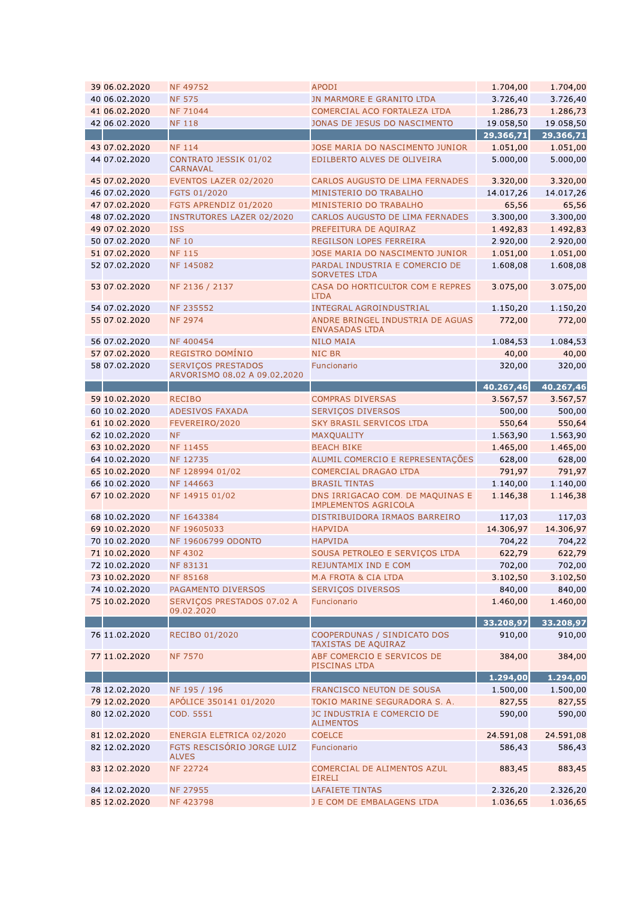| 39 06.02.2020 | NF 49752                                                  | <b>APODI</b>                                                 | 1.704,00  | 1.704,00   |
|---------------|-----------------------------------------------------------|--------------------------------------------------------------|-----------|------------|
| 40 06.02.2020 | <b>NF 575</b>                                             | JN MARMORE E GRANITO LTDA                                    | 3.726,40  | 3.726,40   |
| 41 06.02.2020 | NF 71044                                                  | COMERCIAL ACO FORTALEZA LTDA                                 | 1.286,73  | 1.286,73   |
| 42 06.02.2020 | <b>NF 118</b>                                             | JONAS DE JESUS DO NASCIMENTO                                 | 19.058,50 | 19.058,50  |
|               |                                                           |                                                              | 29.366,71 | 29.366,71  |
| 43 07.02.2020 | <b>NF 114</b>                                             | JOSE MARIA DO NASCIMENTO JUNIOR                              | 1.051,00  | 1.051,00   |
| 44 07.02.2020 | CONTRATO JESSIK 01/02<br><b>CARNAVAL</b>                  | EDILBERTO ALVES DE OLIVEIRA                                  | 5.000,00  | 5.000,00   |
| 45 07.02.2020 | EVENTOS LAZER 02/2020                                     | CARLOS AUGUSTO DE LIMA FERNADES                              | 3.320,00  | 3.320,00   |
| 46 07.02.2020 | FGTS 01/2020                                              | MINISTERIO DO TRABALHO                                       | 14.017,26 | 14.017,26  |
| 47 07.02.2020 | FGTS APRENDIZ 01/2020                                     | MINISTERIO DO TRABALHO                                       | 65,56     | 65,56      |
| 48 07.02.2020 | <b>INSTRUTORES LAZER 02/2020</b>                          | CARLOS AUGUSTO DE LIMA FERNADES                              | 3.300,00  | 3.300,00   |
| 49 07.02.2020 | <b>ISS</b>                                                | PREFEITURA DE AQUIRAZ                                        | 1.492,83  | 1.492,83   |
| 50 07.02.2020 | <b>NF 10</b>                                              | REGILSON LOPES FERREIRA                                      | 2.920,00  | 2.920,00   |
| 51 07.02.2020 | <b>NF 115</b>                                             | JOSE MARIA DO NASCIMENTO JUNIOR                              | 1.051,00  | 1.051,00   |
| 52 07.02.2020 | NF 145082                                                 | PARDAL INDUSTRIA E COMERCIO DE<br><b>SORVETES LTDA</b>       | 1.608,08  | 1.608,08   |
| 53 07.02.2020 | NF 2136 / 2137                                            | CASA DO HORTICULTOR COM E REPRES<br><b>LTDA</b>              | 3.075,00  | 3.075,00   |
| 54 07.02.2020 | <b>NF 235552</b>                                          | <b>INTEGRAL AGROINDUSTRIAL</b>                               | 1.150,20  | 1.150,20   |
| 55 07.02.2020 | <b>NF 2974</b>                                            | ANDRE BRINGEL INDUSTRIA DE AGUAS<br><b>ENVASADAS LTDA</b>    | 772,00    | 772,00     |
| 56 07.02.2020 | NF 400454                                                 | <b>NILO MAIA</b>                                             | 1.084,53  | 1.084,53   |
| 57 07.02.2020 | REGISTRO DOMÍNIO                                          | <b>NIC BR</b>                                                | 40,00     | 40,00      |
| 58 07.02.2020 | <b>SERVIÇOS PRESTADOS</b><br>ARVORISMO 08.02 A 09.02.2020 | Funcionario                                                  | 320,00    | 320,00     |
|               |                                                           |                                                              | 40.267,46 | 40.267, 46 |
| 59 10.02.2020 | <b>RECIBO</b>                                             | <b>COMPRAS DIVERSAS</b>                                      | 3.567,57  | 3.567,57   |
| 60 10.02.2020 | ADESIVOS FAXADA                                           | <b>SERVIÇOS DIVERSOS</b>                                     | 500,00    | 500,00     |
| 61 10.02.2020 | FEVEREIRO/2020                                            | <b>SKY BRASIL SERVICOS LTDA</b>                              | 550,64    | 550,64     |
| 62 10.02.2020 | <b>NF</b>                                                 | MAXQUALITY                                                   | 1.563,90  | 1.563,90   |
| 63 10.02.2020 | NF 11455                                                  | <b>BEACH BIKE</b>                                            | 1.465,00  | 1.465,00   |
| 64 10.02.2020 | NF 12735                                                  | ALUMIL COMERCIO E REPRESENTAÇÕES                             | 628,00    | 628,00     |
| 65 10.02.2020 | NF 128994 01/02                                           | <b>COMERCIAL DRAGAO LTDA</b>                                 | 791,97    | 791,97     |
| 66 10.02.2020 | NF 144663                                                 | <b>BRASIL TINTAS</b>                                         | 1.140,00  | 1.140,00   |
| 67 10.02.2020 | NF 14915 01/02                                            | DNS IRRIGACAO COM. DE MAQUINAS E                             | 1.146,38  | 1.146,38   |
| 68 10.02.2020 | NF 1643384                                                | <b>IMPLEMENTOS AGRICOLA</b><br>DISTRIBUIDORA IRMAOS BARREIRO |           |            |
|               |                                                           |                                                              | 117,03    | 117,03     |
| 69 10.02.2020 | NF 19605033                                               | <b>HAPVIDA</b>                                               | 14.306,97 | 14.306,97  |
| 70 10.02.2020 | NF 19606799 ODONTO                                        | <b>HAPVIDA</b>                                               | 704,22    | 704,22     |
| 71 10.02.2020 | <b>NF4302</b>                                             | SOUSA PETROLEO E SERVIÇOS LTDA                               | 622,79    | 622,79     |
| 72 10.02.2020 | NF 83131                                                  | REJUNTAMIX IND E COM                                         | 702,00    | 702,00     |
| 73 10.02.2020 | <b>NF85168</b>                                            | M.A FROTA & CIA LTDA                                         | 3.102,50  | 3.102,50   |
| 74 10.02.2020 | PAGAMENTO DIVERSOS                                        | SERVIÇOS DIVERSOS                                            | 840,00    | 840,00     |
| 75 10.02.2020 | SERVIÇOS PRESTADOS 07.02 A<br>09.02.2020                  | Funcionario                                                  | 1.460,00  | 1.460,00   |
|               |                                                           |                                                              | 33.208,97 | 33.208,97  |
| 76 11.02.2020 | RECIBO 01/2020                                            | COOPERDUNAS / SINDICATO DOS<br>TAXISTAS DE AQUIRAZ           | 910,00    | 910,00     |
| 77 11.02.2020 | <b>NF 7570</b>                                            | ABF COMERCIO E SERVICOS DE<br>PISCINAS LTDA                  | 384,00    | 384,00     |
|               |                                                           |                                                              | 1.294,00  | 1.294,00   |
| 78 12.02.2020 | NF 195 / 196                                              | FRANCISCO NEUTON DE SOUSA                                    | 1.500,00  | 1.500,00   |
| 79 12.02.2020 | APÓLICE 350141 01/2020                                    | TOKIO MARINE SEGURADORA S. A.                                | 827,55    | 827,55     |
| 80 12.02.2020 | COD. 5551                                                 | JC INDUSTRIA E COMERCIO DE<br><b>ALIMENTOS</b>               | 590,00    | 590,00     |
| 81 12.02.2020 | ENERGIA ELETRICA 02/2020                                  | <b>COELCE</b>                                                | 24.591,08 | 24.591,08  |
| 82 12.02.2020 | FGTS RESCISÓRIO JORGE LUIZ<br><b>ALVES</b>                | Funcionario                                                  | 586,43    | 586,43     |
| 83 12.02.2020 | <b>NF 22724</b>                                           | COMERCIAL DE ALIMENTOS AZUL<br><b>EIRELI</b>                 | 883,45    | 883,45     |
| 84 12.02.2020 | NF 27955                                                  | <b>LAFAIETE TINTAS</b>                                       | 2.326,20  | 2.326,20   |
| 85 12.02.2020 | NF 423798                                                 | J E COM DE EMBALAGENS LTDA                                   | 1.036,65  | 1.036,65   |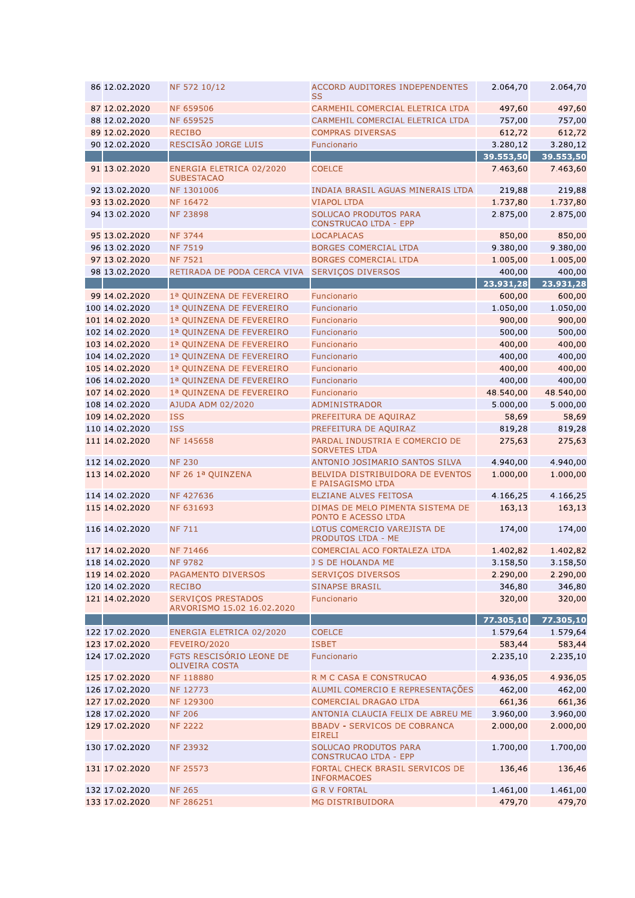| 86 12.02.2020                   | NF 572 10/12                                            | <b>ACCORD AUDITORES INDEPENDENTES</b><br>SS             | 2.064,70            | 2.064,70            |
|---------------------------------|---------------------------------------------------------|---------------------------------------------------------|---------------------|---------------------|
| 87 12.02.2020                   | <b>NF 659506</b>                                        | CARMEHIL COMERCIAL ELETRICA LTDA                        | 497,60              | 497,60              |
| 88 12.02.2020                   | NF 659525                                               | CARMEHIL COMERCIAL ELETRICA LTDA                        | 757,00              | 757,00              |
| 89 12.02.2020                   | <b>RECIBO</b>                                           | <b>COMPRAS DIVERSAS</b>                                 | 612,72              | 612,72              |
| 90 12.02.2020                   | RESCISÃO JORGE LUIS                                     | Funcionario                                             | 3.280,12            | 3.280,12            |
|                                 |                                                         |                                                         | 39.553,50           | 39.553,50           |
| 91 13.02.2020                   | ENERGIA ELETRICA 02/2020<br><b>SUBESTACAO</b>           | <b>COELCE</b>                                           | 7.463,60            | 7.463,60            |
| 92 13.02.2020                   | NF 1301006                                              | INDAIA BRASIL AGUAS MINERAIS LTDA                       | 219,88              | 219,88              |
| 93 13.02.2020                   | NF 16472                                                | <b>VIAPOL LTDA</b>                                      | 1.737,80            | 1.737,80            |
| 94 13.02.2020                   | <b>NF 23898</b>                                         | SOLUCAO PRODUTOS PARA<br><b>CONSTRUCAO LTDA - EPP</b>   | 2.875,00            | 2.875,00            |
| 95 13.02.2020                   | <b>NF 3744</b>                                          | <b>LOCAPLACAS</b>                                       | 850,00              | 850,00              |
| 96 13.02.2020                   | <b>NF 7519</b>                                          | <b>BORGES COMERCIAL LTDA</b>                            | 9.380,00            | 9.380,00            |
| 97 13.02.2020                   | <b>NF 7521</b>                                          | <b>BORGES COMERCIAL LTDA</b>                            | 1.005,00            | 1.005,00            |
| 98 13.02.2020                   | RETIRADA DE PODA CERCA VIVA                             | <b>SERVIÇOS DIVERSOS</b>                                | 400,00<br>23.931,28 | 400,00              |
|                                 |                                                         |                                                         | 600,00              | 23.931,28<br>600,00 |
| 99 14.02.2020<br>100 14.02.2020 | 1ª QUINZENA DE FEVEREIRO<br>1ª QUINZENA DE FEVEREIRO    | Funcionario<br>Funcionario                              | 1.050,00            | 1.050,00            |
| 101 14.02.2020                  | 1ª OUINZENA DE FEVEREIRO                                | Funcionario                                             | 900,00              | 900,00              |
| 102 14.02.2020                  | 1ª QUINZENA DE FEVEREIRO                                | Funcionario                                             | 500,00              | 500,00              |
| 103 14.02.2020                  | 1ª QUINZENA DE FEVEREIRO                                | Funcionario                                             | 400,00              | 400,00              |
| 104 14.02.2020                  | 1ª QUINZENA DE FEVEREIRO                                | Funcionario                                             | 400,00              | 400,00              |
| 105 14.02.2020                  | 1ª OUINZENA DE FEVEREIRO                                | Funcionario                                             | 400,00              | 400,00              |
| 106 14.02.2020                  | 1ª QUINZENA DE FEVEREIRO                                | Funcionario                                             | 400,00              | 400,00              |
| 107 14.02.2020                  | 1ª QUINZENA DE FEVEREIRO                                | Funcionario                                             | 48.540,00           | 48.540,00           |
| 108 14.02.2020                  | AJUDA ADM 02/2020                                       | ADMINISTRADOR                                           | 5.000,00            | 5.000,00            |
| 109 14.02.2020                  | <b>ISS</b>                                              | PREFEITURA DE AQUIRAZ                                   | 58,69               | 58,69               |
| 110 14.02.2020                  | <b>ISS</b>                                              | PREFEITURA DE AQUIRAZ                                   | 819,28              | 819,28              |
| 111 14.02.2020                  | NF 145658                                               | PARDAL INDUSTRIA E COMERCIO DE<br><b>SORVETES LTDA</b>  | 275,63              | 275,63              |
| 112 14.02.2020                  | <b>NF 230</b>                                           | ANTONIO JOSIMARIO SANTOS SILVA                          | 4.940,00            | 4.940,00            |
| 113 14.02.2020                  | NF 26 1ª QUINZENA                                       | BELVIDA DISTRIBUIDORA DE EVENTOS<br>E PAISAGISMO LTDA   | 1.000,00            | 1.000,00            |
| 114 14.02.2020                  | NF 427636                                               | ELZIANE ALVES FEITOSA                                   | 4.166,25            | 4.166,25            |
| 115 14.02.2020                  | NF 631693                                               | DIMAS DE MELO PIMENTA SISTEMA DE<br>PONTO E ACESSO LTDA | 163,13              | 163,13              |
| 116 14.02.2020                  | <b>NF 711</b>                                           | LOTUS COMERCIO VAREJISTA DE<br>PRODUTOS LTDA - ME       | 174,00              | 174,00              |
| 117 14.02.2020                  | <b>NF 71466</b>                                         | COMERCIAL ACO FORTALEZA LTDA                            | 1.402,82            | 1.402,82            |
| 118 14.02.2020                  | <b>NF 9782</b>                                          | J S DE HOLANDA ME                                       | 3.158,50            | 3.158,50            |
| 119 14.02.2020                  | PAGAMENTO DIVERSOS                                      | <b>SERVIÇOS DIVERSOS</b>                                | 2.290,00            | 2.290,00            |
| 120 14.02.2020                  | <b>RECIBO</b>                                           | <b>SINAPSE BRASIL</b>                                   | 346,80              | 346,80              |
| 121 14.02.2020                  | <b>SERVIÇOS PRESTADOS</b><br>ARVORISMO 15.02 16.02.2020 | Funcionario                                             | 320,00              | 320,00              |
| 122 17.02.2020                  |                                                         | <b>COELCE</b>                                           | 77.305,10           | 77.305,10           |
| 123 17.02.2020                  | ENERGIA ELETRICA 02/2020<br>FEVEIRO/2020                | <b>ISBET</b>                                            | 1.579,64<br>583,44  | 1.579,64<br>583,44  |
| 124 17.02.2020                  | FGTS RESCISÓRIO LEONE DE<br><b>OLIVEIRA COSTA</b>       | Funcionario                                             | 2.235,10            | 2.235,10            |
| 125 17.02.2020                  | NF 118880                                               | R M C CASA E CONSTRUCAO                                 | 4.936.05            | 4.936,05            |
| 126 17.02.2020                  | NF 12773                                                | ALUMIL COMERCIO E REPRESENTAÇÕES                        | 462,00              | 462,00              |
| 127 17.02.2020                  | NF 129300                                               | <b>COMERCIAL DRAGAO LTDA</b>                            | 661,36              | 661,36              |
| 128 17.02.2020                  | <b>NF 206</b>                                           | ANTONIA CLAUCIA FELIX DE ABREU ME                       | 3.960,00            | 3.960,00            |
| 129 17.02.2020                  | <b>NF 2222</b>                                          | <b>BBADV - SERVICOS DE COBRANCA</b><br><b>EIRELI</b>    | 2.000,00            | 2.000,00            |
| 130 17.02.2020                  | NF 23932                                                | SOLUCAO PRODUTOS PARA<br><b>CONSTRUCAO LTDA - EPP</b>   | 1.700,00            | 1.700,00            |
| 131 17.02.2020                  | <b>NF 25573</b>                                         | FORTAL CHECK BRASIL SERVICOS DE<br><b>INFORMACOES</b>   | 136,46              | 136,46              |
| 132 17.02.2020                  | <b>NF 265</b>                                           | <b>G R V FORTAL</b>                                     | 1.461,00            | 1.461,00            |
| 133 17.02.2020                  | NF 286251                                               | <b>MG DISTRIBUIDORA</b>                                 | 479,70              | 479,70              |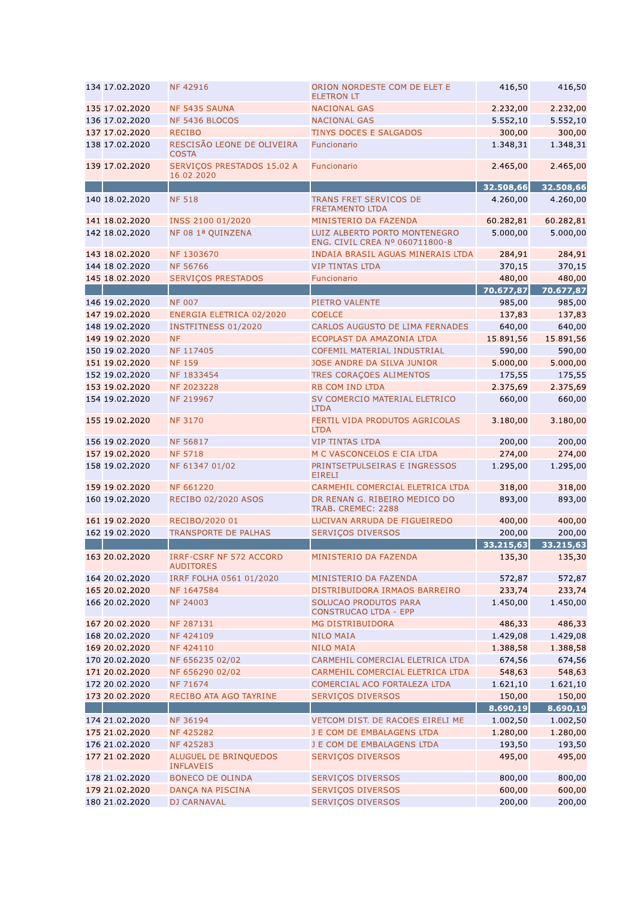| 134 17.02.2020 | <b>NF42916</b>                                     | ORION NORDESTE COM DE ELET E<br><b>ELETRON LT</b>               | 416,50    | 416,50    |
|----------------|----------------------------------------------------|-----------------------------------------------------------------|-----------|-----------|
| 135 17.02.2020 | NF 5435 SAUNA                                      | <b>NACIONAL GAS</b>                                             | 2.232,00  | 2.232,00  |
| 136 17.02.2020 | NF 5436 BLOCOS                                     | <b>NACIONAL GAS</b>                                             | 5.552,10  | 5.552,10  |
| 137 17.02.2020 | <b>RECIBO</b>                                      | TINYS DOCES E SALGADOS                                          | 300,00    | 300,00    |
| 138 17.02.2020 | RESCISÃO LEONE DE OLIVEIRA<br><b>COSTA</b>         | Funcionario                                                     | 1.348,31  | 1.348,31  |
| 139 17.02.2020 | SERVIÇOS PRESTADOS 15.02 A<br>16.02.2020           | Funcionario                                                     | 2.465,00  | 2.465,00  |
|                |                                                    |                                                                 | 32.508,66 | 32.508,66 |
| 140 18.02.2020 | <b>NF 518</b>                                      | <b>TRANS FRET SERVICOS DE</b><br><b>FRETAMENTO LTDA</b>         | 4.260,00  | 4.260,00  |
| 141 18.02.2020 | INSS 2100 01/2020                                  | MINISTERIO DA FAZENDA                                           | 60.282,81 | 60.282,81 |
| 142 18.02.2020 | NF 08 1ª QUINZENA                                  | LUIZ ALBERTO PORTO MONTENEGRO<br>ENG. CIVIL CREA Nº 060711800-8 | 5.000,00  | 5.000,00  |
| 143 18.02.2020 | NF 1303670                                         | INDAIA BRASIL AGUAS MINERAIS LTDA                               | 284,91    | 284,91    |
| 144 18.02.2020 | <b>NF 56766</b>                                    | <b>VIP TINTAS LTDA</b>                                          | 370,15    | 370,15    |
| 145 18.02.2020 | <b>SERVIÇOS PRESTADOS</b>                          | Funcionario                                                     | 480,00    | 480,00    |
|                |                                                    |                                                                 | 70.677,87 | 70.677,87 |
| 146 19.02.2020 | <b>NF 007</b>                                      | PIETRO VALENTE                                                  | 985,00    | 985,00    |
| 147 19.02.2020 | ENERGIA ELETRICA 02/2020                           | <b>COELCE</b>                                                   | 137,83    | 137,83    |
| 148 19.02.2020 | <b>INSTFITNESS 01/2020</b>                         | CARLOS AUGUSTO DE LIMA FERNADES                                 | 640,00    | 640,00    |
| 149 19.02.2020 | <b>NF</b>                                          | ECOPLAST DA AMAZONIA LTDA                                       | 15.891,56 | 15.891,56 |
| 150 19.02.2020 | NF 117405                                          | <b>COFEMIL MATERIAL INDUSTRIAL</b>                              | 590,00    | 590,00    |
| 151 19.02.2020 | <b>NF 159</b>                                      | JOSE ANDRE DA SILVA JUNIOR                                      | 5.000,00  | 5.000,00  |
| 152 19.02.2020 | NF 1833454                                         | TRES CORAÇOES ALIMENTOS                                         | 175,55    | 175,55    |
|                |                                                    |                                                                 |           |           |
| 153 19.02.2020 | NF 2023228                                         | <b>RB COM IND LTDA</b>                                          | 2.375,69  | 2.375,69  |
| 154 19.02.2020 | NF 219967                                          | SV COMERCIO MATERIAL ELETRICO<br><b>LTDA</b>                    | 660,00    | 660,00    |
| 155 19.02.2020 | <b>NF 3170</b>                                     | FERTIL VIDA PRODUTOS AGRICOLAS<br><b>LTDA</b>                   | 3.180,00  | 3.180,00  |
| 156 19.02.2020 | <b>NF 56817</b>                                    | <b>VIP TINTAS LTDA</b>                                          | 200,00    | 200,00    |
| 157 19.02.2020 | <b>NF 5718</b>                                     | M C VASCONCELOS E CIA LTDA                                      | 274,00    | 274,00    |
| 158 19.02.2020 | NF 61347 01/02                                     | PRINTSETPULSEIRAS E INGRESSOS<br><b>EIRELI</b>                  | 1.295,00  | 1.295,00  |
| 159 19.02.2020 | <b>NF 661220</b>                                   | CARMEHIL COMERCIAL ELETRICA LTDA                                | 318,00    | 318,00    |
| 160 19.02.2020 | RECIBO 02/2020 ASOS                                | DR RENAN G. RIBEIRO MEDICO DO<br>TRAB. CREMEC: 2288             | 893,00    | 893,00    |
| 161 19.02.2020 | RECIBO/2020 01                                     | LUCIVAN ARRUDA DE FIGUEIREDO                                    | 400,00    | 400,00    |
| 162 19.02.2020 | <b>TRANSPORTE DE PALHAS</b>                        | <b>SERVIÇOS DIVERSOS</b>                                        | 200,00    | 200,00    |
|                |                                                    |                                                                 | 33.215,63 | 33.215,63 |
| 163 20.02.2020 | <b>IRRF-CSRF NF 572 ACCORD</b><br><b>AUDITORES</b> | MINISTERIO DA FAZENDA                                           | 135,30    | 135,30    |
| 164 20.02.2020 | IRRF FOLHA 0561 01/2020                            | MINISTERIO DA FAZENDA                                           | 572,87    | 572,87    |
| 165 20.02.2020 | NF 1647584                                         | DISTRIBUIDORA IRMAOS BARREIRO                                   | 233,74    | 233,74    |
| 166 20.02.2020 | <b>NF 24003</b>                                    | SOLUCAO PRODUTOS PARA<br><b>CONSTRUCAO LTDA - EPP</b>           | 1.450,00  | 1.450,00  |
| 167 20.02.2020 | NF 287131                                          | MG DISTRIBUIDORA                                                | 486,33    | 486,33    |
| 168 20.02.2020 | NF 424109                                          | <b>NILO MAIA</b>                                                | 1.429,08  | 1.429,08  |
| 169 20.02.2020 | NF 424110                                          | <b>NILO MAIA</b>                                                | 1.388,58  | 1.388,58  |
| 170 20.02.2020 | NF 656235 02/02                                    | CARMEHIL COMERCIAL ELETRICA LTDA                                | 674,56    | 674,56    |
| 171 20.02.2020 | NF 656290 02/02                                    | CARMEHIL COMERCIAL ELETRICA LTDA                                | 548,63    | 548,63    |
| 172 20.02.2020 | NF 71674                                           | COMERCIAL ACO FORTALEZA LTDA                                    | 1.621,10  | 1.621,10  |
| 173 20.02.2020 | RECIBO ATA AGO TAYRINE                             | <b>SERVICOS DIVERSOS</b>                                        | 150,00    | 150,00    |
|                |                                                    |                                                                 | 8.690,19  | 8.690,19  |
| 174 21.02.2020 | NF 36194                                           | VETCOM DIST. DE RACOES EIRELI ME                                | 1.002,50  | 1.002,50  |
| 175 21.02.2020 | NF 425282                                          | J E COM DE EMBALAGENS LTDA                                      | 1.280,00  | 1.280,00  |
| 176 21.02.2020 | NF 425283                                          | J E COM DE EMBALAGENS LTDA                                      | 193,50    | 193,50    |
| 177 21.02.2020 | ALUGUEL DE BRINQUEDOS<br><b>INFLAVEIS</b>          | <b>SERVIÇOS DIVERSOS</b>                                        | 495,00    | 495,00    |
| 178 21.02.2020 | <b>BONECO DE OLINDA</b>                            | SERVIÇOS DIVERSOS                                               | 800,00    | 800,00    |
| 179 21.02.2020 | DANÇA NA PISCINA                                   | <b>SERVIÇOS DIVERSOS</b>                                        | 600,00    | 600,00    |
| 180 21.02.2020 | DJ CARNAVAL                                        | <b>SERVIÇOS DIVERSOS</b>                                        | 200,00    | 200,00    |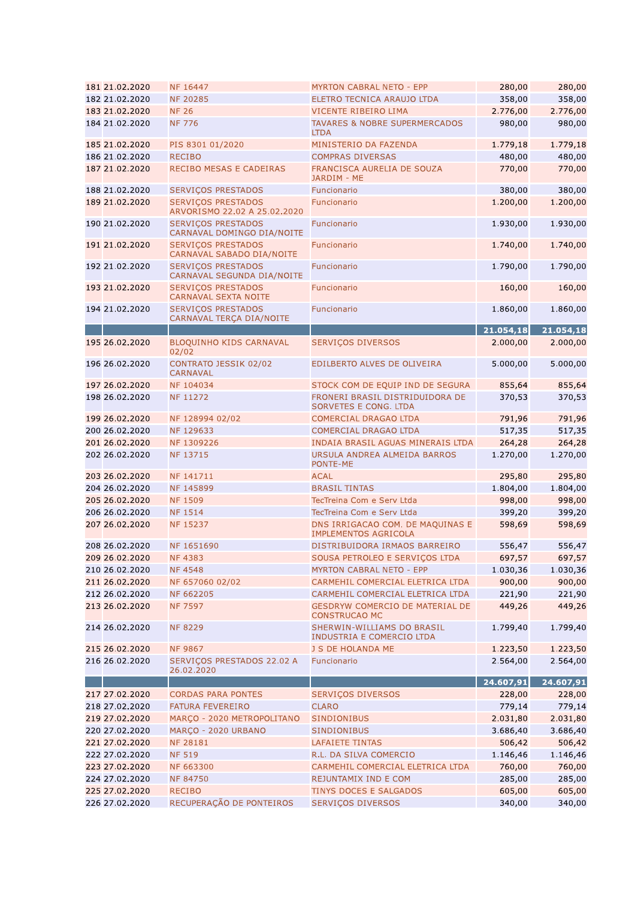| 181 21.02.2020                   | NF 16447                                                  | <b>MYRTON CABRAL NETO - EPP</b>                                                                  | 280,00             | 280,00             |
|----------------------------------|-----------------------------------------------------------|--------------------------------------------------------------------------------------------------|--------------------|--------------------|
| 182 21.02.2020                   | <b>NF 20285</b>                                           | ELETRO TECNICA ARAUJO LTDA                                                                       | 358,00             | 358,00             |
| 183 21.02.2020                   | <b>NF 26</b>                                              | <b>VICENTE RIBEIRO LIMA</b>                                                                      | 2.776,00           | 2.776,00           |
| 184 21.02.2020                   | <b>NF 776</b>                                             | <b>TAVARES &amp; NOBRE SUPERMERCADOS</b><br><b>LTDA</b>                                          | 980,00             | 980,00             |
| 185 21.02.2020                   | PIS 8301 01/2020                                          | MINISTERIO DA FAZENDA                                                                            | 1.779,18           | 1.779,18           |
| 186 21.02.2020                   | <b>RECIBO</b>                                             | <b>COMPRAS DIVERSAS</b>                                                                          | 480,00             | 480,00             |
| 187 21.02.2020                   | RECIBO MESAS E CADEIRAS                                   | FRANCISCA AURELIA DE SOUZA<br>JARDIM - ME                                                        | 770,00             | 770,00             |
| 188 21.02.2020                   | SERVIÇOS PRESTADOS                                        | Funcionario                                                                                      | 380,00             | 380,00             |
| 189 21.02.2020                   | <b>SERVICOS PRESTADOS</b><br>ARVORISMO 22.02 A 25.02.2020 | Funcionario                                                                                      | 1.200,00           | 1.200,00           |
| 190 21.02.2020                   | <b>SERVICOS PRESTADOS</b><br>CARNAVAL DOMINGO DIA/NOITE   | Funcionario                                                                                      | 1.930,00           | 1.930,00           |
| 191 21.02.2020                   | <b>SERVIÇOS PRESTADOS</b><br>CARNAVAL SABADO DIA/NOITE    | Funcionario                                                                                      | 1.740,00           | 1.740,00           |
| 192 21.02.2020                   | <b>SERVICOS PRESTADOS</b><br>CARNAVAL SEGUNDA DIA/NOITE   | Funcionario                                                                                      | 1.790,00           | 1.790,00           |
| 193 21.02.2020                   | <b>SERVIÇOS PRESTADOS</b><br>CARNAVAL SEXTA NOITE         | Funcionario                                                                                      | 160,00             | 160,00             |
| 194 21.02.2020                   | <b>SERVIÇOS PRESTADOS</b><br>CARNAVAL TERÇA DIA/NOITE     | Funcionario                                                                                      | 1.860,00           | 1.860,00           |
|                                  |                                                           |                                                                                                  | 21.054,18          | 21.054,18          |
| 195 26.02.2020                   | BLOQUINHO KIDS CARNAVAL<br>02/02                          | <b>SERVIÇOS DIVERSOS</b>                                                                         | 2.000,00           | 2.000,00           |
| 196 26.02.2020                   | CONTRATO JESSIK 02/02<br><b>CARNAVAL</b>                  | EDILBERTO ALVES DE OLIVEIRA                                                                      | 5.000,00           | 5.000,00           |
| 197 26.02.2020                   | NF 104034                                                 | STOCK COM DE EQUIP IND DE SEGURA                                                                 | 855,64             | 855,64             |
| 198 26.02.2020                   | NF 11272                                                  | FRONERI BRASIL DISTRIDUIDORA DE<br>SORVETES E CONG. LTDA                                         | 370,53             | 370,53             |
| 199 26.02.2020                   | NF 128994 02/02                                           | <b>COMERCIAL DRAGAO LTDA</b>                                                                     | 791,96             | 791,96             |
| 200 26.02.2020                   | NF 129633                                                 | <b>COMERCIAL DRAGAO LTDA</b>                                                                     | 517,35             | 517,35             |
| 201 26.02.2020                   | NF 1309226                                                | INDAIA BRASIL AGUAS MINERAIS LTDA                                                                | 264,28             | 264,28             |
| 202 26.02.2020                   | NF 13715                                                  | URSULA ANDREA ALMEIDA BARROS<br>PONTE-ME                                                         | 1.270,00           | 1.270,00           |
| 203 26.02.2020<br>204 26.02.2020 | NF 141711<br>NF 145899                                    | <b>ACAL</b><br><b>BRASIL TINTAS</b>                                                              | 295,80<br>1.804,00 | 295,80<br>1.804,00 |
| 205 26.02.2020                   | <b>NF 1509</b>                                            | TecTreina Com e Serv Ltda                                                                        | 998,00             |                    |
| 206 26.02.2020                   | <b>NF 1514</b>                                            | TecTreina Com e Serv Ltda                                                                        | 399,20             | 998,00             |
| 207 26.02.2020                   | NF 15237                                                  |                                                                                                  | 598,69             | 399,20<br>598,69   |
| 208 26.02.2020                   | NF 1651690                                                | DNS IRRIGACAO COM. DE MAQUINAS E<br><b>IMPLEMENTOS AGRICOLA</b><br>DISTRIBUIDORA IRMAOS BARREIRO |                    | 556,47             |
|                                  |                                                           | SOUSA PETROLEO E SERVIÇOS LTDA                                                                   | 556,47             |                    |
| 209 26.02.2020                   | <b>NF4383</b>                                             |                                                                                                  | 697,57             | 697,57             |
| 210 26.02.2020<br>211 26.02.2020 | <b>NF4548</b><br>NF 657060 02/02                          | <b>MYRTON CABRAL NETO - EPP</b><br>CARMEHIL COMERCIAL ELETRICA LTDA                              | 1.030,36<br>900,00 | 1.030,36<br>900,00 |
| 212 26.02.2020                   | <b>NF 662205</b>                                          | CARMEHIL COMERCIAL ELETRICA LTDA                                                                 | 221,90             | 221,90             |
| 213 26.02.2020                   | <b>NF 7597</b>                                            | <b>GESDRYW COMERCIO DE MATERIAL DE</b><br><b>CONSTRUCAO MC</b>                                   | 449,26             | 449,26             |
| 214 26.02.2020                   | <b>NF 8229</b>                                            | SHERWIN-WILLIAMS DO BRASIL<br>INDUSTRIA E COMERCIO LTDA                                          | 1.799,40           | 1.799,40           |
| 215 26.02.2020                   | <b>NF 9867</b>                                            | J S DE HOLANDA ME                                                                                | 1.223,50           | 1.223,50           |
| 216 26.02.2020                   | SERVIÇOS PRESTADOS 22.02 A<br>26.02.2020                  | Funcionario                                                                                      | 2.564,00           | 2.564,00           |
|                                  |                                                           |                                                                                                  | 24.607,91          | 24.607,91          |
| 217 27.02.2020                   | <b>CORDAS PARA PONTES</b>                                 | SERVIÇOS DIVERSOS                                                                                | 228,00             | 228,00             |
| 218 27.02.2020                   | <b>FATURA FEVEREIRO</b>                                   | <b>CLARO</b>                                                                                     | 779,14             | 779,14             |
| 219 27.02.2020                   | MARÇO - 2020 METROPOLITANO                                | <b>SINDIONIBUS</b>                                                                               | 2.031,80           | 2.031,80           |
| 220 27.02.2020                   | MARÇO - 2020 URBANO                                       | <b>SINDIONIBUS</b>                                                                               | 3.686,40           | 3.686,40           |
| 221 27.02.2020                   | <b>NF 28181</b>                                           | LAFAIETE TINTAS                                                                                  | 506,42             | 506,42             |
| 222 27.02.2020                   | <b>NF 519</b>                                             | R.L. DA SILVA COMERCIO                                                                           | 1.146,46           | 1.146,46           |
| 223 27.02.2020                   | NF 663300                                                 | CARMEHIL COMERCIAL ELETRICA LTDA                                                                 | 760,00             | 760,00             |
| 224 27.02.2020                   | NF 84750                                                  | REJUNTAMIX IND E COM                                                                             | 285,00             | 285,00             |
| 225 27.02.2020                   | <b>RECIBO</b>                                             | TINYS DOCES E SALGADOS                                                                           | 605,00             | 605,00             |
| 226 27.02.2020                   | RECUPERAÇÃO DE PONTEIROS                                  | SERVIÇOS DIVERSOS                                                                                | 340,00             | 340,00             |